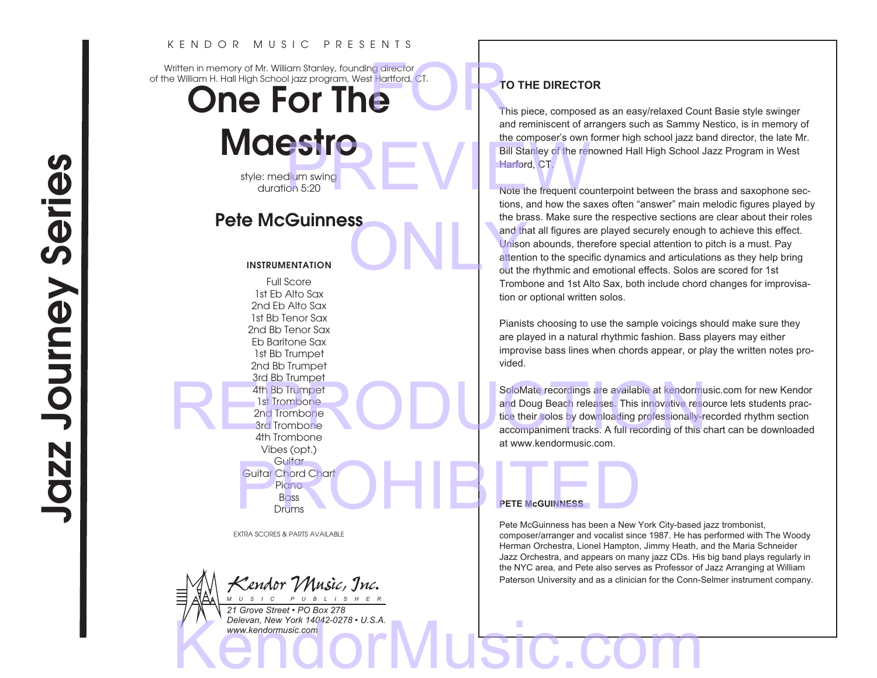#### K E N D O R M U S I C P R E S E N T S

Written in memory of Mr. William Stanley, founding director of the William H. Hall High School jazz program, West Hartford, CT. TO TI<br>
This p<br>
This p<br>
and re

One For The

**Maestro** style: medium swing duration 5:20

# Pete McGuinness

#### INSTRUMENTATION

Full Score 1st Eb Alto Sax 2nd Eb Alto Sax 1st Bb Tenor Sax 2nd Bb Tenor Sax Eb Baritone Sax 1st Bb Trumpet 2nd Bb Trumpet 3rd Bb Trumpet 4th Bb Trumpet 1st Trombone 2nd Trombone 3rd Trombone 4th Trombone Vibes (opt.) **Guitar** Guitar Chord Chart Piano  $B<sub>0</sub>$ ss Drums Guitar Chord Chart<br>Piano<br>Drums<br>Drums<br>Pete McGuinnese has been a New York

EXTRA SCORES & PARTS AVAILABLE

*Kendor Music, Inc. M U S I C P U B L I S H E R*

*21 Grove Street • PO Box 278 Delevan, New York 14042-0278 • U.S.A. www.kendormusic.com* WWW.kendormusic.com COMMUSIC.COM

# **TO THE DIRECTOR**

This piece, composed as an easy/relaxed Count Basie style swinger and reminiscent of arrangers such as Sammy Nestico, is in memory of the composer's own former high school jazz band director, the late Mr. Bill Stanley of the renowned Hall High School Jazz Program in West Harford, CT. Bill Stanley of the renown<br>Dium swing<br>On 5:20<br>Note the frequent counter<br>tions, and how the saxes

Note the frequent counterpoint between the brass and saxophone sections, and how the saxes often "answer" main melodic figures played by the brass. Make sure the respective sections are clear about their roles and that all figures are played securely enough to achieve this effect. Unison abounds, therefore special attention to pitch is a must. Pay attention to the specific dynamics and articulations as they help bring out the rhythmic and emotional effects. Solos are scored for 1st Trombone and 1st Alto Sax, both include chord changes for improvisation or optional written solos. and that all<br>
Unison abd<br>
attention to<br>
out the rhy<br>
Trombone

> Pianists choosing to use the sample voicings should make sure they are played in a natural rhythmic fashion. Bass players may either improvise bass lines when chords appear, or play the written notes provided.

SoloMate recordings are available at kendormusic.com for new Kendor and Doug Beach releases. This innovative resource lets students practice their solos by downloading professionally-recorded rhythm section accompaniment tracks. A full recording of this chart can be downloaded at www.kendormusic.com. 4th Bb Trumpet<br>
1st Trombone<br>
2nd Trombone<br>
4th Trombone<br>
4th Trombone<br>
4th Trombone<br>
4th Trombone<br>
4th Trombone<br>
4th Trombone<br>
4th Trombone<br>
4th Trombone<br>
2nd Trombone<br>
4th Trombone<br>
2nd Trombone<br>
4th Trombone<br>
2nd Trombo

#### **PETE McGUINNESS**

Pete McGuinness has been a New York City-based jazz trombonist, composer/arranger and vocalist since 1987. He has performed with The Woody Herman Orchestra, Lionel Hampton, Jimmy Heath, and the Maria Schneider Jazz Orchestra, and appears on many jazz CDs. His big band plays regularly in the NYC area, and Pete also serves as Professor of Jazz Arranging at William Paterson University and as a clinician for the Conn-Selmer instrument company.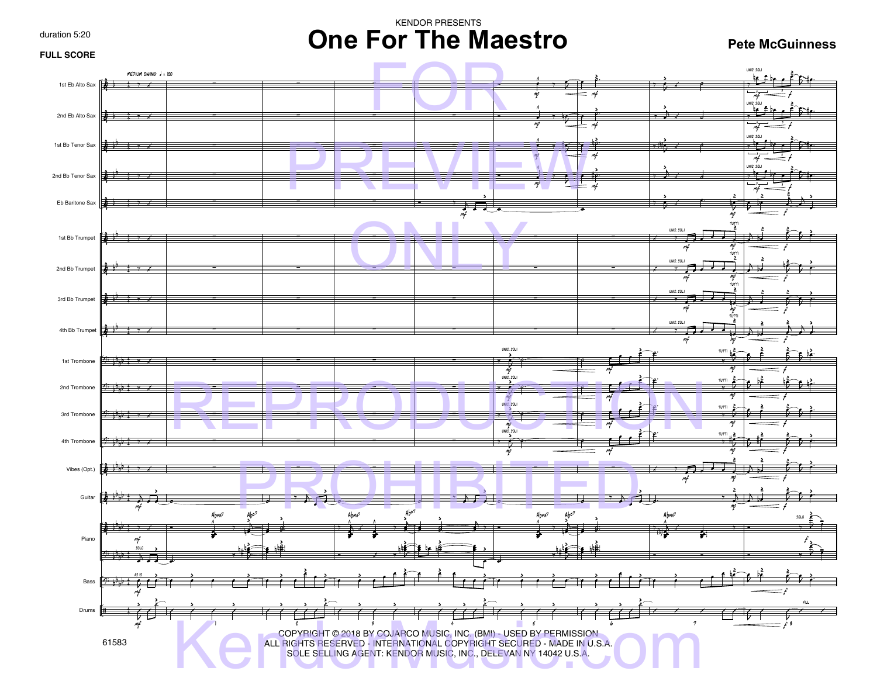duration 5:20

# KENDOR PRESENTS **One For The Maestro**

**Pete McGuinness**

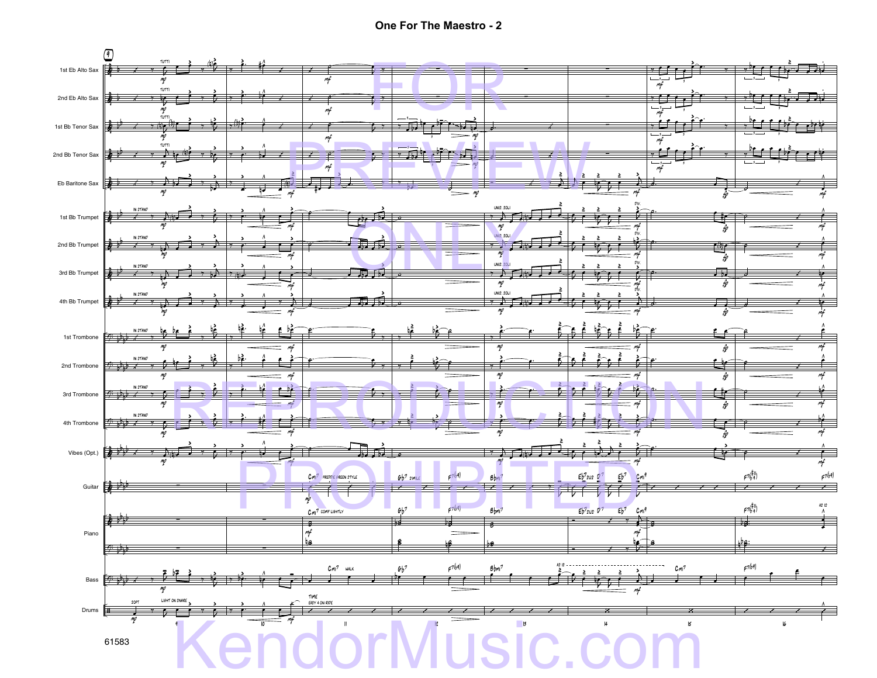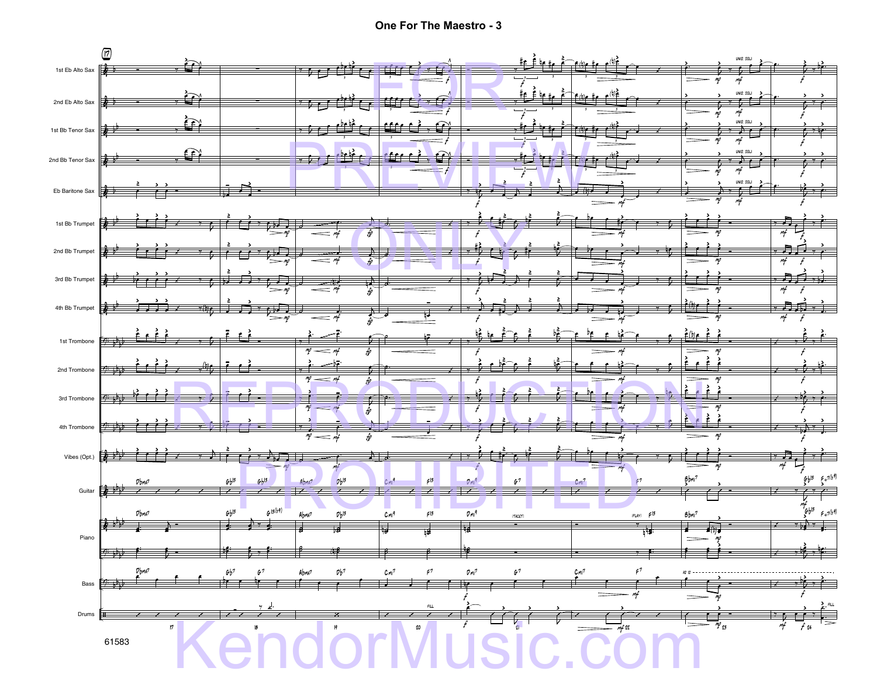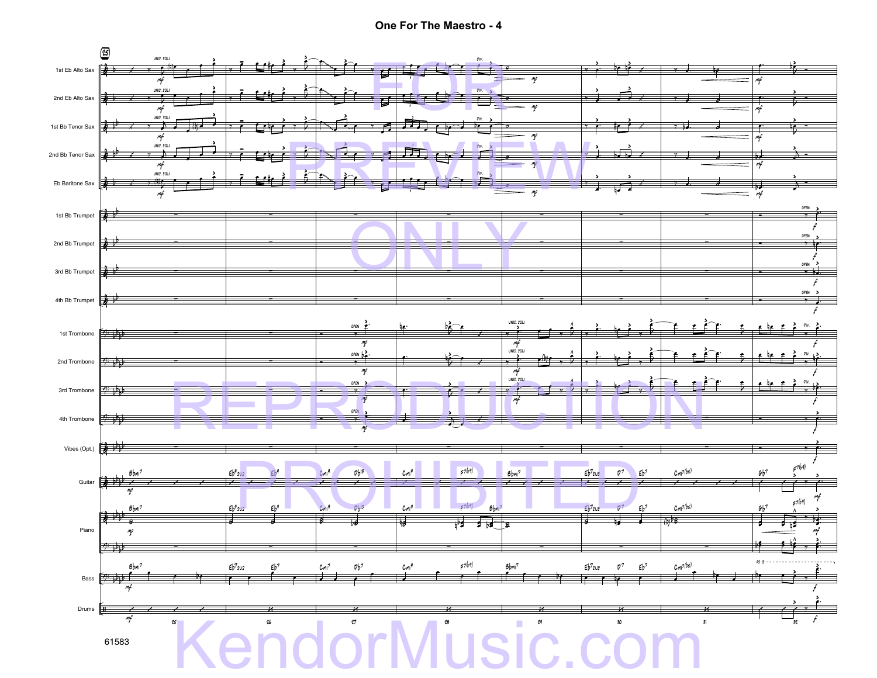**One For The Maestro - 4**

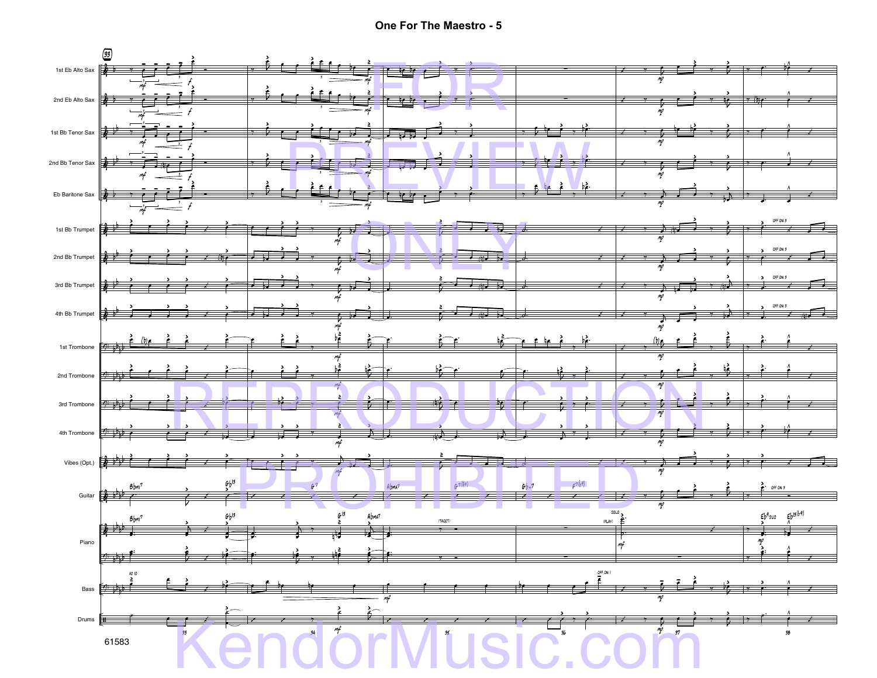**One For The Maestro - 5**

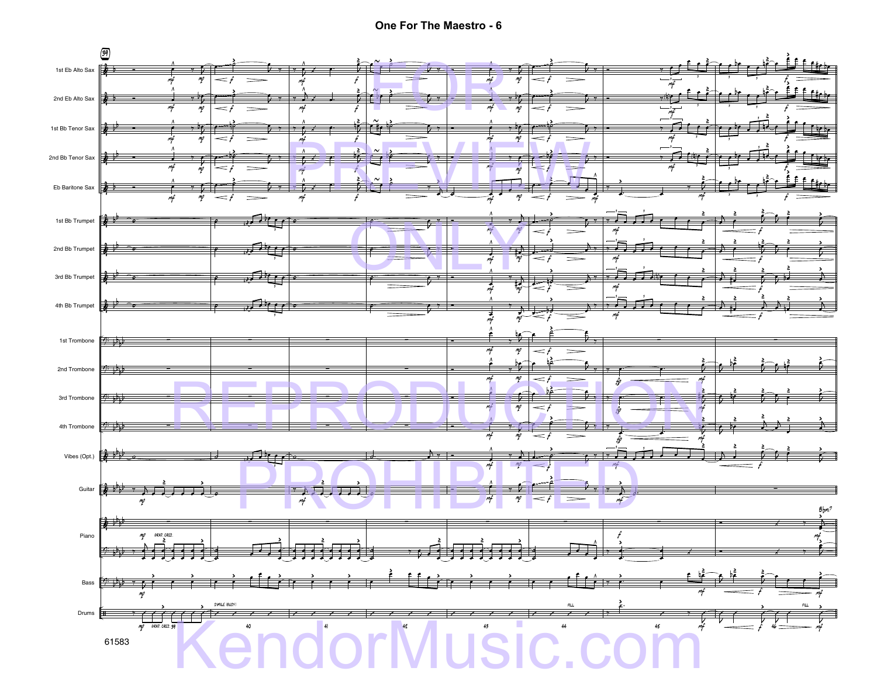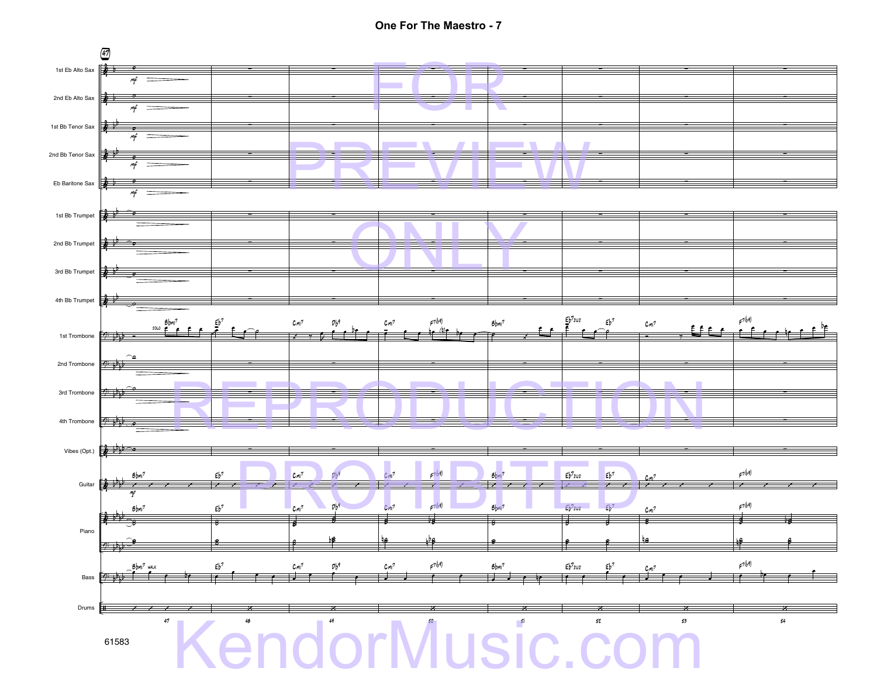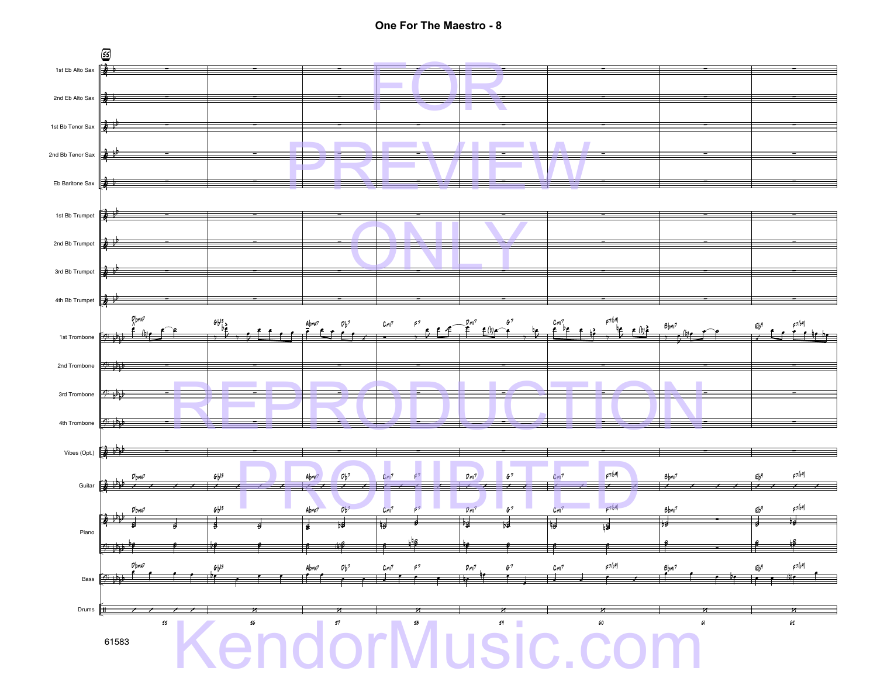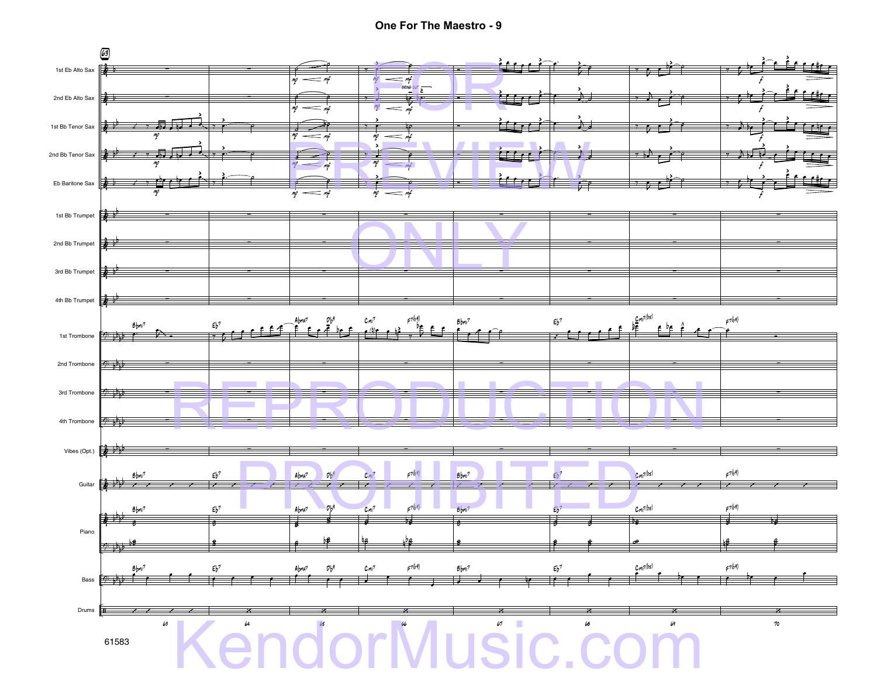**One For The Maestro - 9**

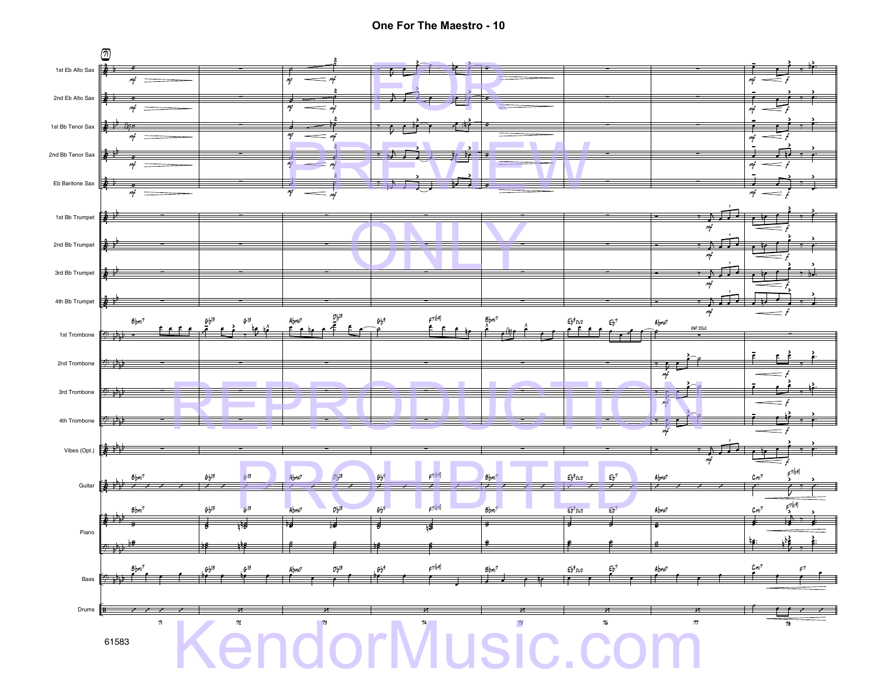One For The Maestro - 10

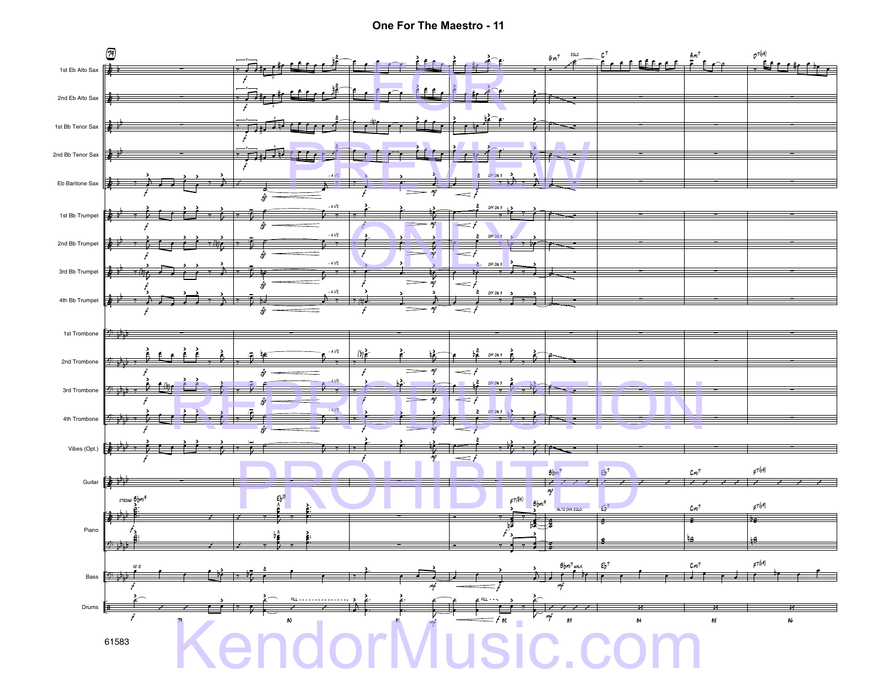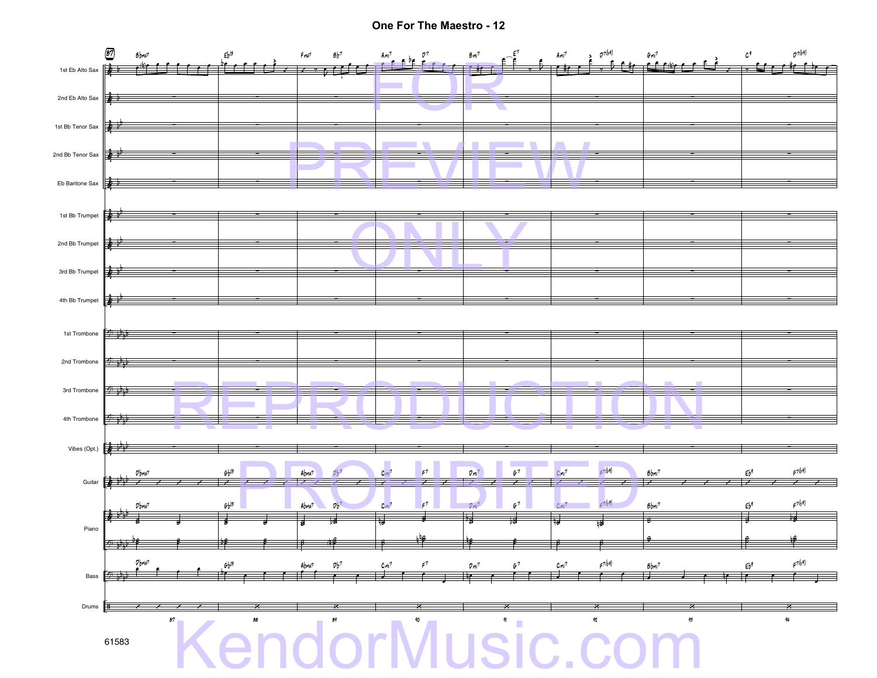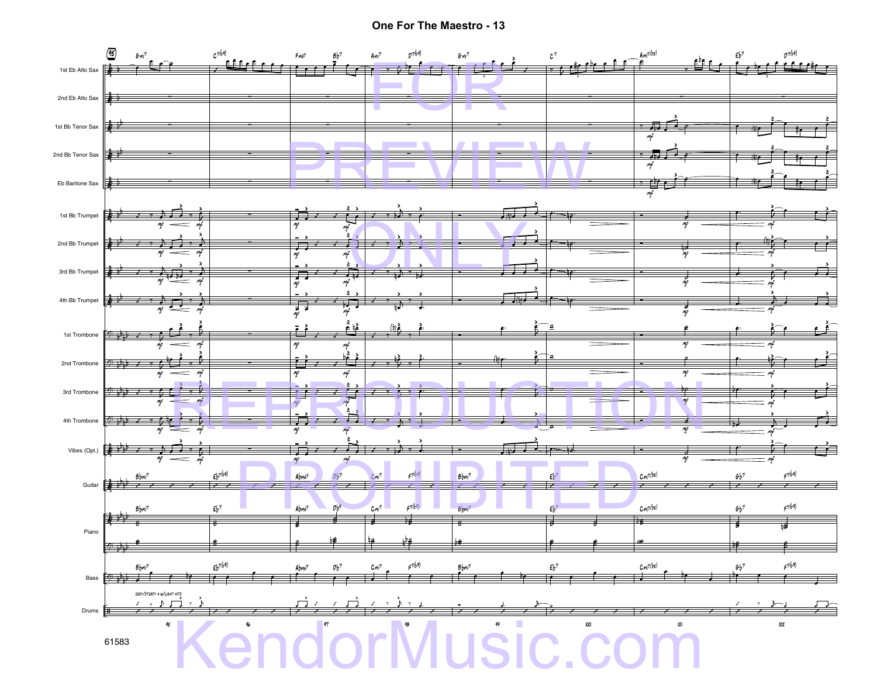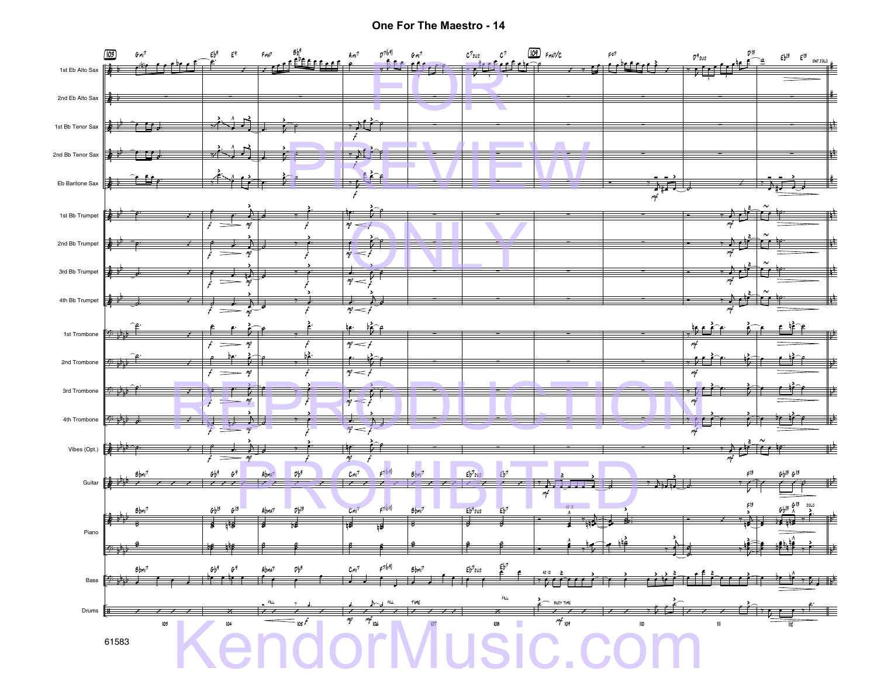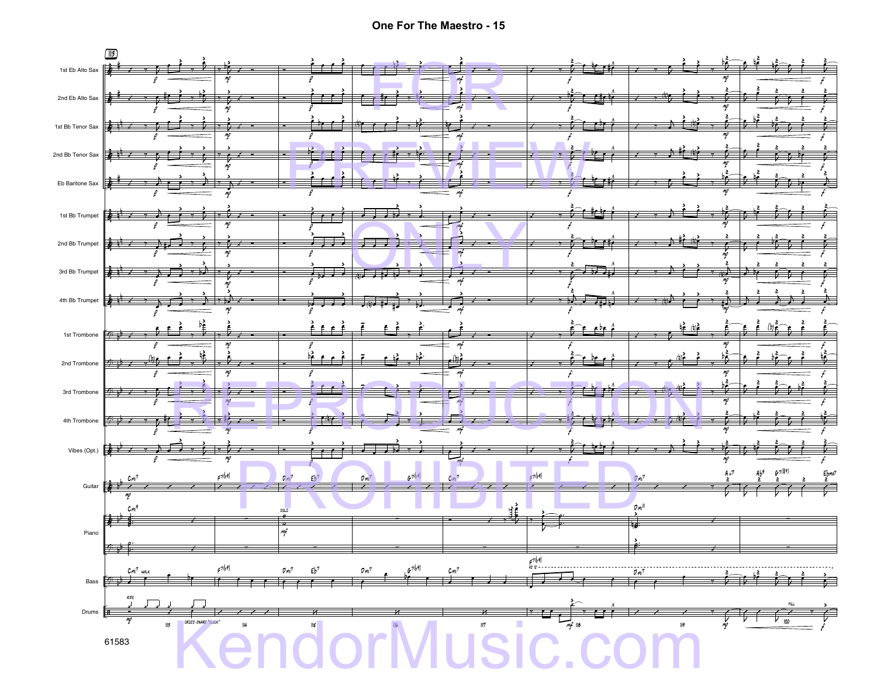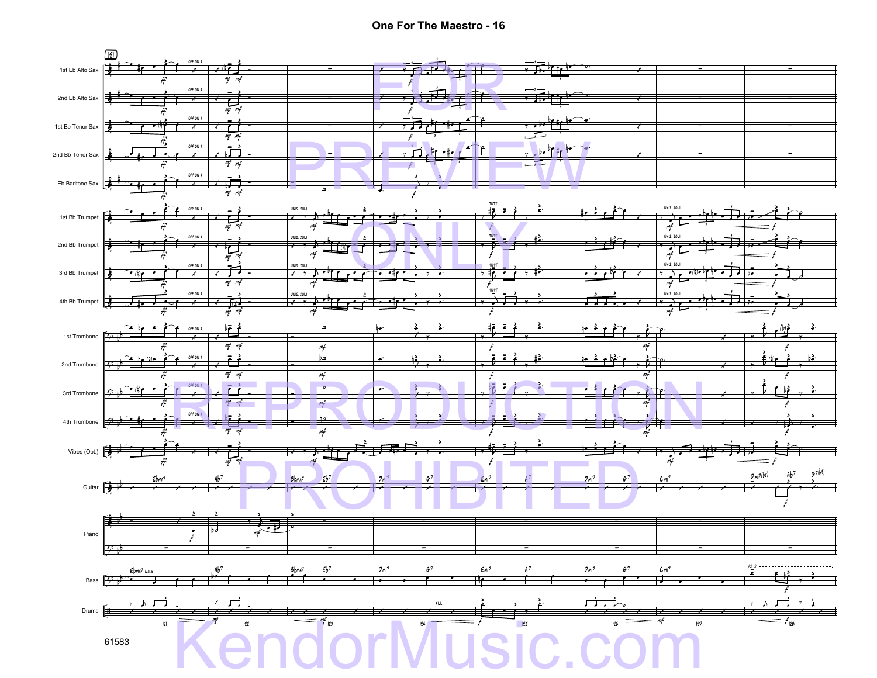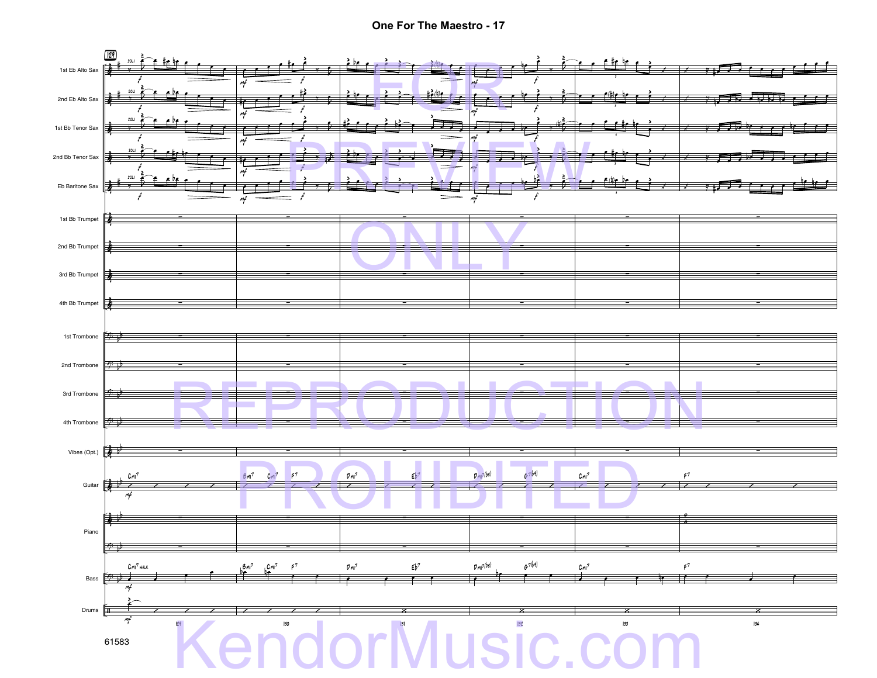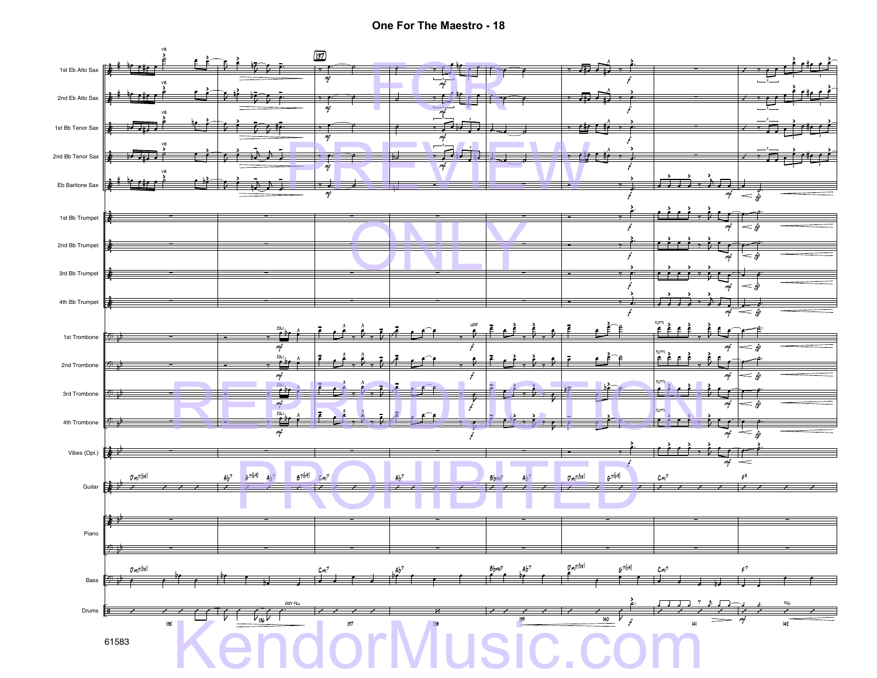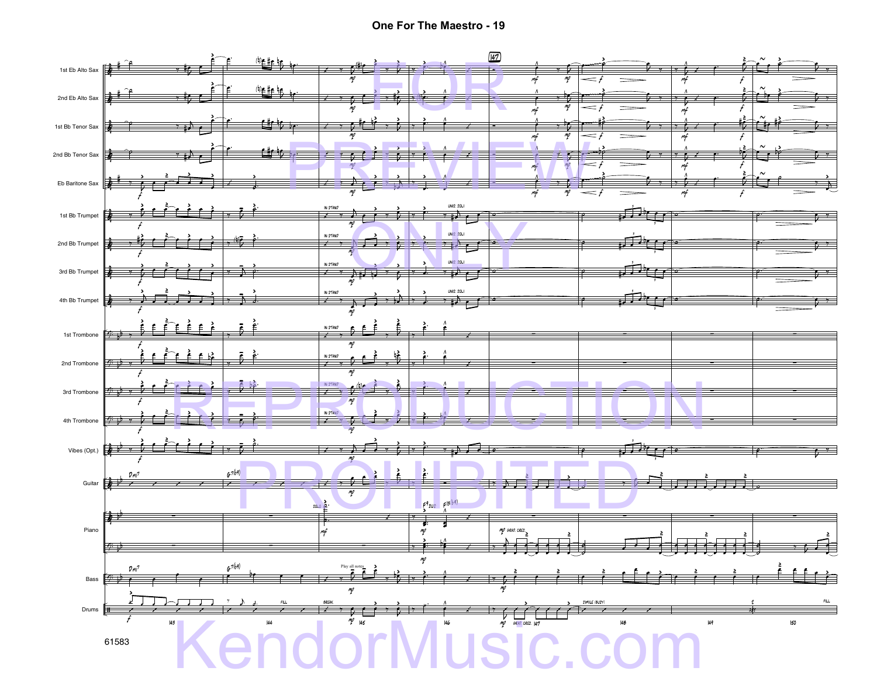